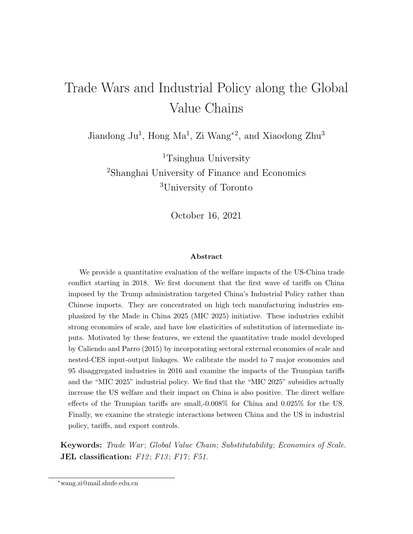# Trade Wars and Industrial Policy along the Global Value Chains

Jiandong Ju<sup>1</sup>, Hong Ma<sup>1</sup>, Zi Wang<sup>\*2</sup>, and Xiaodong Zhu<sup>3</sup>

<sup>1</sup>Tsinghua University <sup>2</sup>Shanghai University of Finance and Economics <sup>3</sup>University of Toronto

October 16, 2021

#### Abstract

We provide a quantitative evaluation of the welfare impacts of the US-China trade conflict starting in 2018. We first document that the first wave of tariffs on China imposed by the Trump administration targeted China's Industrial Policy rather than Chinese imports. They are concentrated on high tech manufacturing industries emphasized by the Made in China 2025 (MIC 2025) initiative. These industries exhibit strong economies of scale, and have low elasticities of substitution of intermediate inputs. Motivated by these features, we extend the quantitative trade model developed by Caliendo and Parro (2015) by incorporating sectoral external economies of scale and nested-CES input-output linkages. We calibrate the model to 7 major economies and 95 disaggregated industries in 2016 and examine the impacts of the Trumpian tariffs and the "MIC 2025" industrial policy. We find that the "MIC 2025" subsidies actually increase the US welfare and their impact on China is also positive. The direct welfare effects of the Trumpian tariffs are small,-0.008% for China and 0.025% for the US. Finally, we examine the strategic interactions between China and the US in industrial policy, tariffs, and export controls.

Keywords: Trade War; Global Value Chain; Substitutability; Economies of Scale. JEL classification:  $F12$ ;  $F13$ ;  $F17$ ;  $F51$ .

<sup>∗</sup>wang.zi@mail.shufe.edu.cn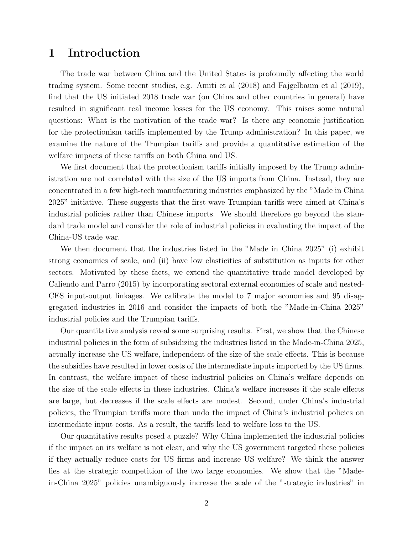### 1 Introduction

The trade war between China and the United States is profoundly affecting the world trading system. Some recent studies, e.g. Amiti et al (2018) and Fajgelbaum et al (2019), find that the US initiated 2018 trade war (on China and other countries in general) have resulted in significant real income losses for the US economy. This raises some natural questions: What is the motivation of the trade war? Is there any economic justification for the protectionism tariffs implemented by the Trump administration? In this paper, we examine the nature of the Trumpian tariffs and provide a quantitative estimation of the welfare impacts of these tariffs on both China and US.

We first document that the protectionism tariffs initially imposed by the Trump administration are not correlated with the size of the US imports from China. Instead, they are concentrated in a few high-tech manufacturing industries emphasized by the "Made in China 2025" initiative. These suggests that the first wave Trumpian tariffs were aimed at China's industrial policies rather than Chinese imports. We should therefore go beyond the standard trade model and consider the role of industrial policies in evaluating the impact of the China-US trade war.

We then document that the industries listed in the "Made in China 2025" (i) exhibit strong economies of scale, and (ii) have low elasticities of substitution as inputs for other sectors. Motivated by these facts, we extend the quantitative trade model developed by Caliendo and Parro (2015) by incorporating sectoral external economies of scale and nested-CES input-output linkages. We calibrate the model to 7 major economies and 95 disaggregated industries in 2016 and consider the impacts of both the "Made-in-China 2025" industrial policies and the Trumpian tariffs.

Our quantitative analysis reveal some surprising results. First, we show that the Chinese industrial policies in the form of subsidizing the industries listed in the Made-in-China 2025, actually increase the US welfare, independent of the size of the scale effects. This is because the subsidies have resulted in lower costs of the intermediate inputs imported by the US firms. In contrast, the welfare impact of these industrial policies on China's welfare depends on the size of the scale effects in these industries. China's welfare increases if the scale effects are large, but decreases if the scale effects are modest. Second, under China's industrial policies, the Trumpian tariffs more than undo the impact of China's industrial policies on intermediate input costs. As a result, the tariffs lead to welfare loss to the US.

Our quantitative results posed a puzzle? Why China implemented the industrial policies if the impact on its welfare is not clear, and why the US government targeted these policies if they actually reduce costs for US firms and increase US welfare? We think the answer lies at the strategic competition of the two large economies. We show that the "Madein-China 2025" policies unambiguously increase the scale of the "strategic industries" in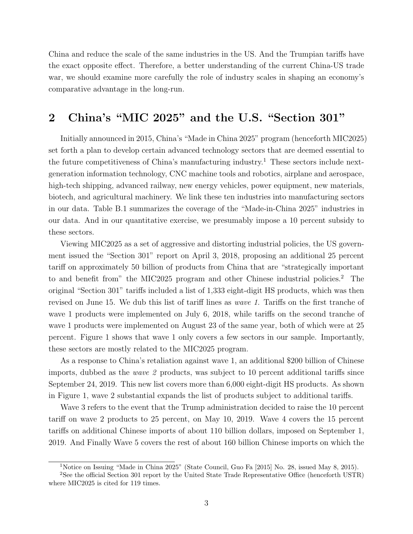China and reduce the scale of the same industries in the US. And the Trumpian tariffs have the exact opposite effect. Therefore, a better understanding of the current China-US trade war, we should examine more carefully the role of industry scales in shaping an economy's comparative advantage in the long-run.

### 2 China's "MIC 2025" and the U.S. "Section 301"

Initially announced in 2015, China's "Made in China 2025" program (henceforth MIC2025) set forth a plan to develop certain advanced technology sectors that are deemed essential to the future competitiveness of China's manufacturing industry.<sup>1</sup> These sectors include nextgeneration information technology, CNC machine tools and robotics, airplane and aerospace, high-tech shipping, advanced railway, new energy vehicles, power equipment, new materials, biotech, and agricultural machinery. We link these ten industries into manufacturing sectors in our data. Table B.1 summarizes the coverage of the "Made-in-China 2025" industries in our data. And in our quantitative exercise, we presumably impose a 10 percent subsidy to these sectors.

Viewing MIC2025 as a set of aggressive and distorting industrial policies, the US government issued the "Section 301" report on April 3, 2018, proposing an additional 25 percent tariff on approximately 50 billion of products from China that are "strategically important to and benefit from" the MIC2025 program and other Chinese industrial policies.<sup>2</sup> The original "Section 301" tariffs included a list of 1,333 eight-digit HS products, which was then revised on June 15. We dub this list of tariff lines as wave 1. Tariffs on the first tranche of wave 1 products were implemented on July 6, 2018, while tariffs on the second tranche of wave 1 products were implemented on August 23 of the same year, both of which were at 25 percent. Figure 1 shows that wave 1 only covers a few sectors in our sample. Importantly, these sectors are mostly related to the MIC2025 program.

As a response to China's retaliation against wave 1, an additional \$200 billion of Chinese imports, dubbed as the wave 2 products, was subject to 10 percent additional tariffs since September 24, 2019. This new list covers more than 6,000 eight-digit HS products. As shown in Figure 1, wave 2 substantial expands the list of products subject to additional tariffs.

Wave 3 refers to the event that the Trump administration decided to raise the 10 percent tariff on wave 2 products to 25 percent, on May 10, 2019. Wave 4 covers the 15 percent tariffs on additional Chinese imports of about 110 billion dollars, imposed on September 1, 2019. And Finally Wave 5 covers the rest of about 160 billion Chinese imports on which the

<sup>&</sup>lt;sup>1</sup>Notice on Issuing "Made in China 2025" (State Council, Guo Fa [2015] No. 28, issued May 8, 2015).

<sup>&</sup>lt;sup>2</sup>See the official Section 301 report by the United State Trade Representative Office (henceforth USTR) where MIC2025 is cited for 119 times.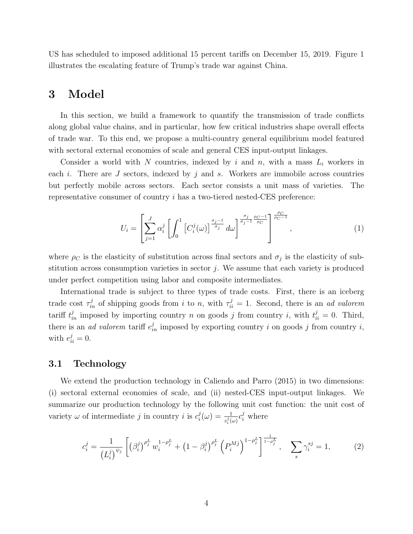US has scheduled to imposed additional 15 percent tariffs on December 15, 2019. Figure 1 illustrates the escalating feature of Trump's trade war against China.

### 3 Model

In this section, we build a framework to quantify the transmission of trade conflicts along global value chains, and in particular, how few critical industries shape overall effects of trade war. To this end, we propose a multi-country general equilibrium model featured with sectoral external economies of scale and general CES input-output linkages.

Consider a world with N countries, indexed by i and n, with a mass  $L_i$  workers in each i. There are  $J$  sectors, indexed by  $j$  and  $s$ . Workers are immobile across countries but perfectly mobile across sectors. Each sector consists a unit mass of varieties. The representative consumer of country i has a two-tiered nested-CES preference:

$$
U_i = \left[\sum_{j=1}^{J} \alpha_i^j \left[\int_0^1 \left[C_i^j(\omega)\right]^{\frac{\sigma_j-1}{\sigma_j}} d\omega\right]^{\frac{\sigma_j}{\sigma_j-1}\frac{\rho_C-1}{\rho_C}}\right]^{\frac{\rho_C}{\rho_C-1}},\tag{1}
$$

where  $\rho_C$  is the elasticity of substitution across final sectors and  $\sigma_j$  is the elasticity of substitution across consumption varieties in sector  $j$ . We assume that each variety is produced under perfect competition using labor and composite intermediates.

International trade is subject to three types of trade costs. First, there is an iceberg trade cost  $\tau_{in}^{j}$  of shipping goods from i to n, with  $\tau_{ii}^{j} = 1$ . Second, there is an ad valorem tariff  $t_{in}^j$  imposed by importing country n on goods j from country i, with  $t_{ii}^j = 0$ . Third, there is an *ad valorem* tariff  $e_{in}^j$  imposed by exporting country i on goods j from country i, with  $e_{ii}^j = 0$ .

#### 3.1 Technology

We extend the production technology in Caliendo and Parro (2015) in two dimensions: (i) sectoral external economies of scale, and (ii) nested-CES input-output linkages. We summarize our production technology by the following unit cost function: the unit cost of variety  $\omega$  of intermediate j in country i is  $c_i^j$  $i_j^j(\omega) = \frac{1}{z_i^j(\omega)} c_i^j$  where

$$
c_i^j = \frac{1}{\left(L_i^j\right)^{\psi_j}} \left[ \left(\beta_i^j\right)^{\rho_j^L} w_i^{1-\rho_j^L} + \left(1-\beta_i^j\right)^{\rho_j^L} \left(P_i^{Mj}\right)^{1-\rho_j^L} \right]_{i-\rho_j^L}^{\frac{1}{1-\rho_j^L}}, \quad \sum_s \gamma_i^{sj} = 1, \tag{2}
$$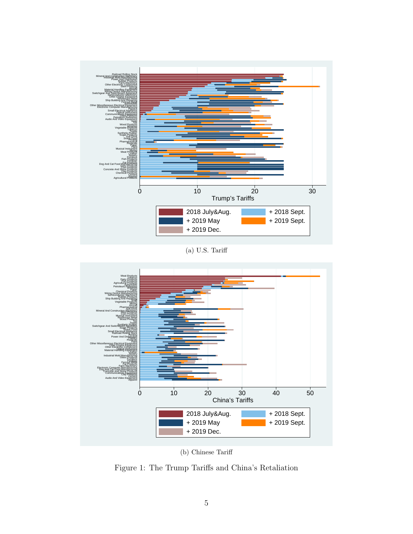

(a) U.S. Tariff



(b) Chinese Tariff

Figure 1: The Trump Tariffs and China's Retaliation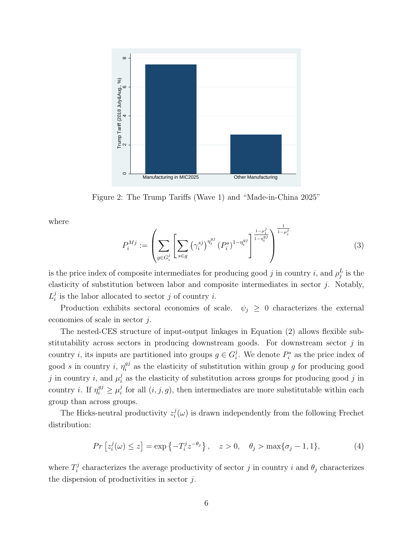

Figure 2: The Trump Tariffs (Wave 1) and "Made-in-China 2025"

where

$$
P_i^{Mj} := \left(\sum_{g \in G_i^j} \left[\sum_{s \in g} \left(\gamma_i^{sj}\right)^{\eta_i^{gj}} (P_i^s)^{1 - \eta_i^{gj}}\right]^{\frac{1 - \mu_i^j}{1 - \eta_i^{gj}}}\right)^{\frac{1}{1 - \mu_i^j}}
$$
(3)

is the price index of composite intermediates for producing good j in country i, and  $\rho_j^L$  is the elasticity of substitution between labor and composite intermediates in sector  $j$ . Notably,  $L_i^j$  $i_i$  is the labor allocated to sector j of country i.

Production exhibits sectoral economies of scale.  $\psi_i \geq 0$  characterizes the external economies of scale in sector j.

The nested-CES structure of input-output linkages in Equation (2) allows flexible substitutability across sectors in producing downstream goods. For downstream sector  $j$  in country *i*, its inputs are partitioned into groups  $g \in G_i^j$ <sup>j</sup>. We denote  $P_i^s$  as the price index of good s in country i,  $\eta_i^{gj}$  $i<sup>gj</sup>$  as the elasticity of substitution within group g for producing good j in country i, and  $\mu_i^j$  $\mathbf{z}_i^j$  as the elasticity of substitution across groups for producing good j in country *i*. If  $\eta_i^{g_j} \geq \mu_i^j$  $i<sub>i</sub>$  for all  $(i, j, g)$ , then intermediates are more substitutable within each group than across groups.

The Hicks-neutral productivity  $z_i^j$  $i(\omega)$  is drawn independently from the following Frechet distribution:

$$
Pr\left[z_i^j(\omega) \le z\right] = \exp\left\{-T_i^j z^{-\theta_j}\right\}, \quad z > 0, \quad \theta_j > \max\{\sigma_j - 1, 1\},\tag{4}
$$

where  $T_i^j$ <sup>*i*</sup> characterizes the average productivity of sector *j* in country *i* and  $\theta_j$  characterizes the dispersion of productivities in sector  $j$ .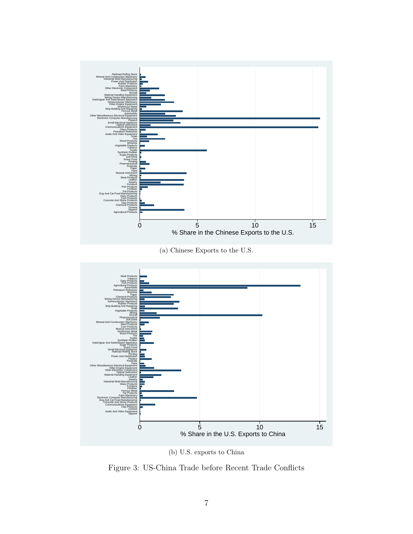

(b) U.S. exports to China

Figure 3: US-China Trade before Recent Trade Conflicts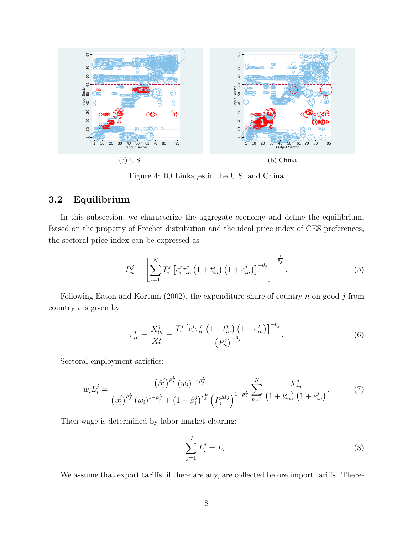

Figure 4: IO Linkages in the U.S. and China

#### 3.2 Equilibrium

In this subsection, we characterize the aggregate economy and define the equilibrium. Based on the property of Frechet distribution and the ideal price index of CES preferences, the sectoral price index can be expressed as

$$
P_n^j = \left[ \sum_{i=1}^N T_i^j \left[ c_i^j \tau_{in}^j \left( 1 + t_{in}^j \right) \left( 1 + e_{in}^j \right) \right]^{-\theta_j} \right]^{-\frac{1}{\theta_j}}.
$$
 (5)

Following Eaton and Kortum (2002), the expenditure share of country  $n$  on good  $j$  from country  $i$  is given by

$$
\pi_{in}^{j} = \frac{X_{in}^{j}}{X_{n}^{j}} = \frac{T_{i}^{j} \left[c_{i}^{j} \tau_{in}^{j} \left(1 + t_{in}^{j}\right) \left(1 + e_{in}^{j}\right)\right]^{-\theta_{j}}}{\left(P_{n}^{j}\right)^{-\theta_{j}}}.
$$
\n(6)

Sectoral employment satisfies:

$$
w_i L_i^j = \frac{\left(\beta_i^j\right)^{\rho_j^L} (w_i)^{1-\rho_j^L}}{\left(\beta_i^j\right)^{\rho_j^L} (w_i)^{1-\rho_j^L} + \left(1-\beta_i^j\right)^{\rho_j^L} \left(P_i^{Mj}\right)^{1-\rho_j^L}} \sum_{n=1}^N \frac{X_{in}^j}{\left(1+t_{in}^j\right)\left(1+e_{in}^j\right)}.\tag{7}
$$

Then wage is determined by labor market clearing:

$$
\sum_{j=1}^{J} L_i^j = L_i.
$$
 (8)

We assume that export tariffs, if there are any, are collected before import tariffs. There-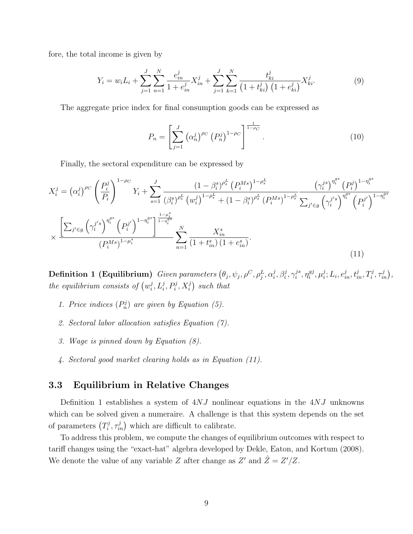fore, the total income is given by

$$
Y_i = w_i L_i + \sum_{j=1}^{J} \sum_{n=1}^{N} \frac{e_{in}^j}{1 + e_{in}^j} X_{in}^j + \sum_{j=1}^{J} \sum_{k=1}^{N} \frac{t_{ki}^j}{\left(1 + t_{ki}^j\right)\left(1 + e_{ki}^j\right)} X_{ki}^j.
$$
(9)

The aggregate price index for final consumption goods can be expressed as

$$
P_n = \left[ \sum_{j=1}^{J} \left( \alpha_n^j \right)^{\rho_C} \left( P_n^j \right)^{1 - \rho_C} \right]^{\frac{1}{1 - \rho_C}}.
$$
 (10)

Finally, the sectoral expenditure can be expressed by

$$
X_{i}^{j} = (\alpha_{i}^{j})^{\rho_{C}} \left(\frac{P_{i}^{j}}{P_{i}}\right)^{1-\rho_{C}} Y_{i} + \sum_{s=1}^{J} \frac{(1-\beta_{i}^{s})^{\rho_{s}^{L}} (P_{i}^{Ms})^{1-\rho_{s}^{L}}}{(\beta_{i}^{s})^{\rho_{s}^{L}} (w_{i}^{j})^{1-\rho_{s}^{L}} + (1-\beta_{i}^{s})^{\rho_{s}^{L}} (P_{i}^{Ms})^{1-\rho_{s}^{L}} \sum_{j' \in g} \left(\gamma_{i}^{j's}\right)^{\eta_{i}^{gs}} (P_{i}^{j'})^{1-\eta_{i}^{gs}} \times \frac{\left[\sum_{j' \in g} \left(\gamma_{i}^{j's}\right)^{\eta_{i}^{gs}} (P_{i}^{j'})^{1-\eta_{i}^{gs}}\right]^{1-\eta_{i}^{gs}}}{(P_{i}^{Ms})^{1-\mu_{i}^{s}}} \sum_{n=1}^{N} \frac{X_{in}^{s}}{(1+t_{in}^{s})(1+e_{in}^{s})}. \tag{11}
$$

Definition 1 (Equilibrium) Given parameters  $(\theta_j, \psi_j, \rho^C, \rho^L_j, \alpha^j_i)$  $j^j_{i}, \beta_i^j, \gamma_i^{js}$  $i^{js}, \eta_i^{gj}$  $_i^{gj}, \mu_i^j$  $i$ ;  $L_i, e_{in}^j, t_{in}^j, T_i^j, \tau_{in}^j$ , the equilibrium consists of  $(w_i^j)$  $\left( \sum_i^j P_i^j, X_i^j \right)$  such that

- 1. Price indices  $(P_n^j)$  are given by Equation (5).
- 2. Sectoral labor allocation satisfies Equation (7).
- 3. Wage is pinned down by Equation (8).
- 4. Sectoral good market clearing holds as in Equation (11).

#### 3.3 Equilibrium in Relative Changes

Definition 1 establishes a system of  $4NJ$  nonlinear equations in the  $4NJ$  unknowns which can be solved given a numeraire. A challenge is that this system depends on the set of parameters  $(T_i^j)$  $(\tau_i^j, \tau_{in}^j)$  which are difficult to calibrate.

To address this problem, we compute the changes of equilibrium outcomes with respect to tariff changes using the "exact-hat" algebra developed by Dekle, Eaton, and Kortum (2008). We denote the value of any variable Z after change as  $Z'$  and  $\hat{Z} = Z'/Z$ .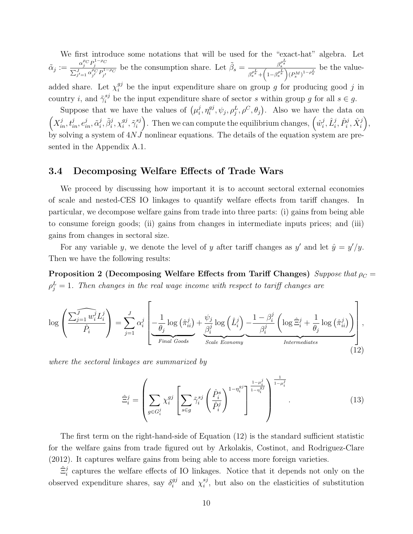We first introduce some notations that will be used for the "exact-hat" algebra. Let  $\tilde{\alpha}_j := \frac{\alpha_j^{\rho_C} P_j^{1-\rho_C}}{\sum_{j'=1}^J \alpha_{j'}^{\rho_C} P_{j'}^{1-\rho_C}}$  be the consumption share. Let  $\tilde{\beta}_s = \frac{\beta_s^{\rho_s^L}}{\beta_s^{\rho_s^L} + \left(1 - \beta_s^{\rho_s^L}\right)^{1-\rho_C}}$  $\frac{\beta_s^L}{\beta_s^{\rho_s^L} + \left(1-\beta_s^{\rho_s^L}\right)(P_s^M)^{1-\rho_s^L}}$  be the valueadded share. Let  $\chi_i^{gj}$  be the input expenditure share on group g for producing good j in country *i*, and  $\tilde{\gamma}_i^{sj}$  be the input expenditure share of sector *s* within group g for all  $s \in g$ .

Suppose that we have the values of  $(\mu_i^j)$  $i^j, \eta_i^{gj}$  $_{i}^{gj}, \psi_j, \rho_j^L, \rho^C, \theta_j$ ). Also we have the data on  $\left(X_{in}^j, t_{in}^j, e_{in}^j, \tilde{\alpha}_i^j\right)$  $\tilde{g}^j_i, \tilde{\beta}^j_i, \chi^{gj}_i$  $_{i}^{gj},\tilde{\gamma}_{i}^{sj}$  $\binom{sj}{i}$ . Then we can compute the equilibrium changes,  $\left(\hat{w}_i^j\right)$  $\hat{L}_i^j, \hat{L}_i^j, \hat{P}_i^j, \hat{X}_i^j\Big),$ by solving a system of 4NJ nonlinear equations. The details of the equation system are presented in the Appendix A.1.

#### 3.4 Decomposing Welfare Effects of Trade Wars

We proceed by discussing how important it is to account sectoral external economies of scale and nested-CES IO linkages to quantify welfare effects from tariff changes. In particular, we decompose welfare gains from trade into three parts: (i) gains from being able to consume foreign goods; (ii) gains from changes in intermediate inputs prices; and (iii) gains from changes in sectoral size.

For any variable y, we denote the level of y after tariff changes as y' and let  $\hat{y} = y'/y$ . Then we have the following results:

Proposition 2 (Decomposing Welfare Effects from Tariff Changes) Suppose that  $\rho_C =$  $\rho_j^L=1$ . Then changes in the real wage income with respect to tariff changes are

$$
\log\left(\frac{\widehat{\sum_{j=1}^{j}w_{i}^{j}}L_{i}^{j}}{\hat{P}_{i}}\right)=\sum_{j=1}^{J}\alpha_{i}^{j}\left[\underbrace{-\frac{1}{\theta_{j}}\log\left(\hat{\pi}_{ii}^{j}\right)+\frac{\psi_{j}}{\beta_{i}^{j}}\log\left(\hat{L}_{i}^{j}\right)}_{\text{Scale Economy}}-\underbrace{\frac{1-\beta_{i}^{j}}{\beta_{i}^{j}}\left(\log\hat{\Xi}_{i}^{j}+\frac{1}{\theta_{j}}\log\left(\hat{\pi}_{ii}^{j}\right)\right)}_{\text{Intermediates}}\right],
$$
\n(12)

where the sectoral linkages are summarized by

$$
\hat{\Xi}_i^j = \left(\sum_{g \in G_i^j} \chi_i^{gj} \left[\sum_{s \in g} \tilde{\gamma}_i^{sj} \left(\frac{\hat{P}_i^s}{\hat{P}_i^j}\right)^{1-\eta_i^{gj}}\right]^{\frac{1-\mu_i^j}{1-\eta_i^{gj}}} \right)^{\frac{1}{1-\mu_i^j}}.
$$
\n(13)

The first term on the right-hand-side of Equation (12) is the standard sufficient statistic for the welfare gains from trade figured out by Arkolakis, Costinot, and Rodriguez-Clare (2012). It captures welfare gains from being able to access more foreign varieties.

 $\hat{\Xi}_i^j$  captures the welfare effects of IO linkages. Notice that it depends not only on the observed expenditure shares, say  $\delta_i^{gj}$  $i^{gj}$  and  $\chi_i^{sj}$  $i<sup>sg</sup>$ , but also on the elasticities of substitution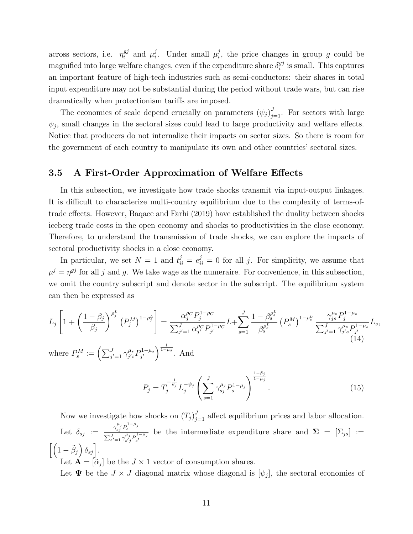across sectors, i.e.  $\eta_i^{gj}$  $_i^{gj}$  and  $\mu_i^j$  $i$ . Under small  $\mu_i^j$  $i_j$ , the price changes in group g could be magnified into large welfare changes, even if the expenditure share  $\delta_i^{gj}$  $i^{g_j}$  is small. This captures an important feature of high-tech industries such as semi-conductors: their shares in total input expenditure may not be substantial during the period without trade wars, but can rise dramatically when protectionism tariffs are imposed.

The economies of scale depend crucially on parameters  $(\psi_j)_{j=1}^J$ . For sectors with large  $\psi_j$ , small changes in the sectoral sizes could lead to large productivity and welfare effects. Notice that producers do not internalize their impacts on sector sizes. So there is room for the government of each country to manipulate its own and other countries' sectoral sizes.

#### 3.5 A First-Order Approximation of Welfare Effects

In this subsection, we investigate how trade shocks transmit via input-output linkages. It is difficult to characterize multi-country equilibrium due to the complexity of terms-oftrade effects. However, Baqaee and Farhi (2019) have established the duality between shocks iceberg trade costs in the open economy and shocks to productivities in the close economy. Therefore, to understand the transmission of trade shocks, we can explore the impacts of sectoral productivity shocks in a close economy.

In particular, we set  $N = 1$  and  $t_{ii}^j = e_{ii}^j = 0$  for all j. For simplicity, we assume that  $\mu^{j} = \eta^{gj}$  for all j and g. We take wage as the numeraire. For convenience, in this subsection, we omit the country subscript and denote sector in the subscript. The equilibrium system can then be expressed as

$$
L_{j}\left[1+\left(\frac{1-\beta_{j}}{\beta_{j}}\right)^{\rho_{j}^{L}}\left(P_{j}^{M}\right)^{1-\rho_{j}^{L}}\right] = \frac{\alpha_{j}^{\rho_{C}}P_{j}^{1-\rho_{C}}}{\sum_{j'=1}^{J}\alpha_{j'}^{\rho_{C}}P_{j'}^{1-\rho_{C}}}L+\sum_{s=1}^{J}\frac{1-\beta_{s}^{\rho_{s}^{L}}}{\beta_{s}^{\rho_{s}^{L}}}\left(P_{s}^{M}\right)^{1-\rho_{s}^{L}}\frac{\gamma_{j_{s}}^{\mu_{s}}P_{j}^{1-\mu_{s}}}{\sum_{j'=1}^{J}\gamma_{j_{s}}^{\mu_{s}}P_{j'}^{1-\mu_{s}}}L_{s},\tag{14}
$$

where  $P_s^M := \left(\sum_{j'=1}^J \gamma_{j's}^{\mu_s}\right)$  $^{\mu_s}_{j's}P^{1-\mu_s}_{j'}$  $j^{\left(1-\mu_s\right)}\right)^{\frac{1}{1-\mu_s}}$ . And

$$
P_j = T_j^{-\frac{1}{\theta_j}} L_j^{-\psi_j} \left( \sum_{s=1}^J \gamma_{sj}^{\mu_j} P_s^{1-\mu_j} \right)^{\frac{1-\beta_j}{1-\mu_j}}.
$$
 (15)

Now we investigate how shocks on  $(T_j)_{j=1}^J$  affect equilibrium prices and labor allocation. Let  $\delta_{sj} := \frac{\gamma_{sj}^{\mu_j} P_s^{1-\mu_j}}{\sum_{j} J_{j}^{\mu_j} P_s^{1-\mu_j}}$  $\sum_{s'=1}^J \gamma_{s'j}^{\mu_j} P_{s'}^{1-\mu_j}$ be the intermediate expenditure share and  $\Sigma = [\Sigma_{js}] :=$  $\left[\left(1-\tilde{\beta}_j\right)\delta_{sj}\right].$ 

Let  $\mathbf{A} = [\tilde{\alpha}_j]$  be the  $J \times 1$  vector of consumption shares.

Let  $\Psi$  be the  $J \times J$  diagonal matrix whose diagonal is  $[\psi_j]$ , the sectoral economies of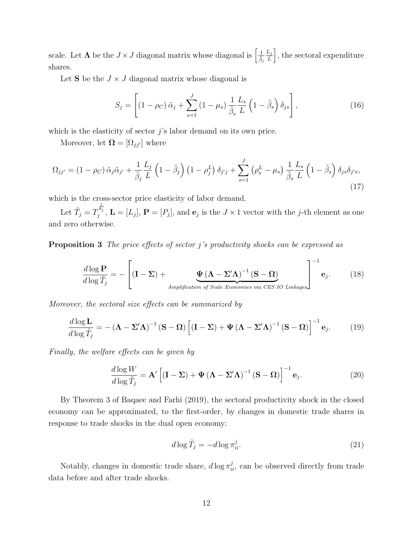scale. Let  $\Lambda$  be the  $J \times J$  diagonal matrix whose diagonal is  $\left[\frac{1}{\tilde{\beta}_j}\right]$  $L_j$  $\left[\frac{L_j}{L}\right]$ , the sectoral expenditure shares.

Let S be the  $J \times J$  diagonal matrix whose diagonal is

$$
S_j = \left[ \left( 1 - \rho_C \right) \tilde{\alpha}_j + \sum_{s=1}^J \left( 1 - \mu_s \right) \frac{1}{\tilde{\beta}_s} \frac{L_s}{L} \left( 1 - \tilde{\beta}_s \right) \delta_{js} \right],\tag{16}
$$

which is the elasticity of sector  $j$ 's labor demand on its own price.

Moreover, let  $\mathbf{\Omega} = [\Omega_{jj'}]$  where

$$
\Omega_{jj'} = (1 - \rho_C) \tilde{\alpha}_j \tilde{\alpha}_{j'} + \frac{1}{\tilde{\beta}_j} \frac{L_j}{L} \left( 1 - \tilde{\beta}_j \right) \left( 1 - \rho_j^L \right) \delta_{j'j} + \sum_{s=1}^J \left( \rho_s^L - \mu_s \right) \frac{1}{\tilde{\beta}_s} \frac{L_s}{L} \left( 1 - \tilde{\beta}_s \right) \delta_{js} \delta_{j's},\tag{17}
$$

which is the cross-sector price elasticity of labor demand.

Let  $\tilde{T}_j = T$  $\frac{1}{\theta_j}$  $j^{v_j}$ ,  $\mathbf{L} = [L_j], \mathbf{P} = [P_j],$  and  $\mathbf{e}_j$  is the  $J \times 1$  vector with the j-th element as one and zero otherwise.

**Proposition 3** The price effects of sector j's productivity shocks can be expressed as

$$
\frac{d \log \mathbf{P}}{d \log \tilde{T}_j} = -\left[ (\mathbf{I} - \boldsymbol{\Sigma}) + \underbrace{\boldsymbol{\Psi} (\boldsymbol{\Lambda} - \boldsymbol{\Sigma}' \boldsymbol{\Lambda})^{-1} (\mathbf{S} - \boldsymbol{\Omega})}_{Amplification \ of \ Scale \ Economics \ via \ CES \ IO\ Linkages} \right]^{-1} \mathbf{e}_j.
$$
 (18)

Moreover, the sectoral size effects can be summarized by

$$
\frac{d \log \mathbf{L}}{d \log \tilde{T}_j} = -(\mathbf{\Lambda} - \mathbf{\Sigma}' \mathbf{\Lambda})^{-1} (\mathbf{S} - \mathbf{\Omega}) \left[ (\mathbf{I} - \mathbf{\Sigma}) + \mathbf{\Psi} (\mathbf{\Lambda} - \mathbf{\Sigma}' \mathbf{\Lambda})^{-1} (\mathbf{S} - \mathbf{\Omega}) \right]^{-1} \mathbf{e}_j.
$$
(19)

Finally, the welfare effects can be given by

$$
\frac{d \log W}{d \log \tilde{T}_j} = \mathbf{A}' \left[ (\mathbf{I} - \Sigma) + \Psi (\mathbf{\Lambda} - \Sigma' \mathbf{\Lambda})^{-1} (\mathbf{S} - \mathbf{\Omega}) \right]^{-1} \mathbf{e}_j.
$$
(20)

By Theorem 3 of Baqaee and Farhi (2019), the sectoral productivity shock in the closed economy can be approximated, to the first-order, by changes in domestic trade shares in response to trade shocks in the dual open economy:

$$
d\log\tilde{T}_j = -d\log\pi_{ii}^j. \tag{21}
$$

Notably, changes in domestic trade share,  $d \log \pi_{ii}^j$ , can be observed directly from trade data before and after trade shocks.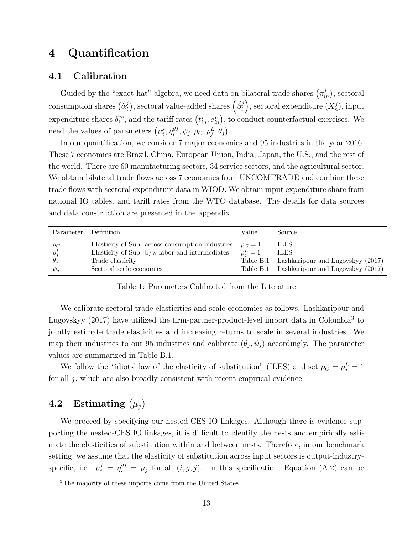### 4 Quantification

### 4.1 Calibration

Guided by the "exact-hat" algebra, we need data on bilateral trade shares  $(\pi_{in}^j)$ , sectoral consumption shares  $(\tilde{\alpha}_i^j)$  $\tilde{p}^{j}_{i}), \,\text{sectoral value-added shares} \left( \tilde{\beta}^{j}_{i} \right), \,\text{sectoral expenditure} \left( X^{j}_{n} \right), \,\text{input}$ expenditure shares  $\delta_i^{js}$  $i^{j s}$ , and the tariff rates  $(t_{in}^j, e_{in}^j)$ , to conduct counterfactual exercises. We need the values of parameters  $(\mu_i^j)$  $i^j, \eta_i^{gj}$  $_{i}^{gj},\psi_{j},\rho_{C},\rho_{j}^{L},\theta_{j}\big).$ 

In our quantification, we consider 7 major economies and 95 industries in the year 2016. These 7 economies are Brazil, China, European Union, India, Japan, the U.S., and the rest of the world. There are 60 manufacturing sectors, 34 service sectors, and the agricultural sector. We obtain bilateral trade flows across 7 economies from UNCOMTRADE and combine these trade flows with sectoral expenditure data in WIOD. We obtain input expenditure share from national IO tables, and tariff rates from the WTO database. The details for data sources and data construction are presented in the appendix.

| Parameter Definition                             |                                                                                                                                                      | Value                      | Source                                                                                                             |
|--------------------------------------------------|------------------------------------------------------------------------------------------------------------------------------------------------------|----------------------------|--------------------------------------------------------------------------------------------------------------------|
| $\rho_C$<br>$\rho_i^L$<br>$\theta_i$<br>$\psi_i$ | Elasticity of Sub. across consumption industries<br>Elasticity of Sub. $b/w$ labor and intermediates<br>Trade elasticity<br>Sectoral scale economies | $\rho_C=1$<br>$\rho_i^L=1$ | ILES.<br><b>ILES</b><br>Table B.1 Lashkaripour and Lugovskyy (2017)<br>Table B.1 Lashkaripour and Lugovskyy (2017) |

Table 1: Parameters Calibrated from the Literature

We calibrate sectoral trade elasticities and scale economies as follows. Lashkaripour and Lugovskyy (2017) have utilized the firm-partner-product-level import data in Colombia<sup>3</sup> to jointly estimate trade elasticities and increasing returns to scale in several industries. We map their industries to our 95 industries and calibrate  $(\theta_j, \psi_j)$  accordingly. The parameter values are summarized in Table B.1.

We follow the "idiots' law of the elasticity of substitution" (ILES) and set  $\rho_C = \rho_j^L = 1$ for all j, which are also broadly consistent with recent empirical evidence.

### 4.2 Estimating  $(\mu_i)$

We proceed by specifying our nested-CES IO linkages. Although there is evidence supporting the nested-CES IO linkages, it is difficult to identify the nests and empirically estimate the elasticities of substitution within and between nests. Therefore, in our benchmark setting, we assume that the elasticity of substitution across input sectors is output-industryspecific, i.e.  $\mu_i^j = \eta_i^{gj} = \mu_j$  for all  $(i, g, j)$ . In this specification, Equation (A.2) can be

<sup>&</sup>lt;sup>3</sup>The majority of these imports come from the United States.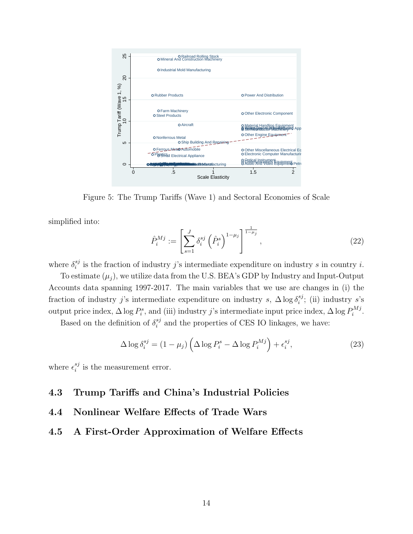

Figure 5: The Trump Tariffs (Wave 1) and Sectoral Economies of Scale

simplified into:

$$
\hat{P}_i^{Mj} := \left[ \sum_{s=1}^J \delta_i^{sj} \left( \hat{P}_i^s \right)^{1-\mu_j} \right]^{\frac{1}{1-\mu_j}}, \tag{22}
$$

where  $\delta_i^{sj}$  $i$ <sup>s</sup> is the fraction of industry j's intermediate expenditure on industry s in country i.

To estimate  $(\mu_i)$ , we utilize data from the U.S. BEA's GDP by Industry and Input-Output Accounts data spanning 1997-2017. The main variables that we use are changes in (i) the fraction of industry j's intermediate expenditure on industry s,  $\Delta \log \delta_i^{sj}$  $_i^{s_j}$ ; (ii) industry s's output price index,  $\Delta \log P_i^s$ , and (iii) industry j's intermediate input price index,  $\Delta \log P_i^{Mj}$  $\sum_i^{M}$ .

Based on the definition of  $\delta_i^{sj}$  $i<sup>sj</sup>$  and the properties of CES IO linkages, we have:

$$
\Delta \log \delta_i^{sj} = (1 - \mu_j) \left( \Delta \log P_i^s - \Delta \log P_i^{Mj} \right) + \epsilon_i^{sj},\tag{23}
$$

where  $\epsilon_i^{sj}$  $i$ <sup>s<sub>j</sub></sup> is the measurement error.

### 4.3 Trump Tariffs and China's Industrial Policies

### 4.4 Nonlinear Welfare Effects of Trade Wars

### 4.5 A First-Order Approximation of Welfare Effects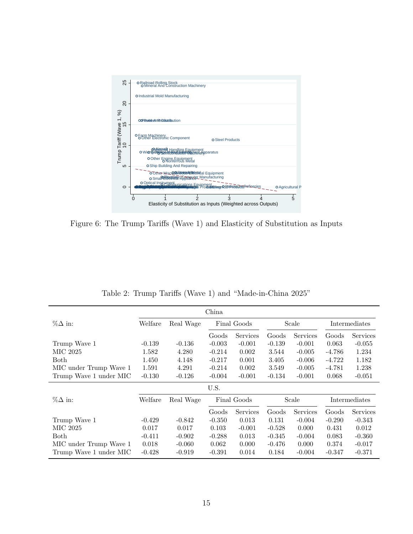

Figure 6: The Trump Tariffs (Wave 1) and Elasticity of Substitution as Inputs

| China                  |          |           |                      |             |          |          |               |                 |
|------------------------|----------|-----------|----------------------|-------------|----------|----------|---------------|-----------------|
| $\%\Delta$ in:         | Welfare  | Real Wage | Final Goods          |             | Scale    |          | Intermediates |                 |
|                        |          |           | Services<br>Goods    |             | Goods    | Services | Goods         | <b>Services</b> |
| Trump Wave 1           | $-0.139$ | $-0.136$  | $-0.003$             | $-0.001$    |          | $-0.001$ | 0.063         | $-0.055$        |
| MIC 2025               | 1.582    | 4.280     | $-0.214$             | 0.002       | 3.544    | $-0.005$ | $-4.786$      | 1.234           |
| Both                   | 1.450    | 4.148     | $-0.217$             | 0.001       | 3.405    | $-0.006$ | $-4.722$      | 1.182           |
| MIC under Trump Wave 1 | 1.591    | 4.291     | $-0.214$             | 0.002       | 3.549    | $-0.005$ | $-4.781$      | 1.238           |
| Trump Wave 1 under MIC | $-0.130$ | $-0.126$  | $-0.004$<br>$-0.001$ |             | $-0.134$ | $-0.001$ | 0.068         | $-0.051$        |
|                        | U.S.     |           |                      |             |          |          |               |                 |
| $\%\Delta$ in:         | Welfare  | Real Wage |                      | Final Goods |          | Scale    | Intermediates |                 |
|                        |          |           | Goods                | Services    |          | Services | Goods         | <b>Services</b> |
| Trump Wave 1           | $-0.429$ | $-0.842$  | $-0.350$             | 0.013       | 0.131    | $-0.004$ | $-0.290$      | $-0.343$        |
| MIC 2025               | 0.017    | 0.017     | 0.103                | $-0.001$    | $-0.528$ | 0.000    | 0.431         | 0.012           |
| Both                   | $-0.411$ | $-0.902$  | $-0.288$             | 0.013       | $-0.345$ | $-0.004$ | 0.083         | $-0.360$        |
| MIC under Trump Wave 1 | 0.018    | $-0.060$  | 0.062                | 0.000       | $-0.476$ | 0.000    | 0.374         | $-0.017$        |
| Trump Wave 1 under MIC | $-0.428$ | $-0.919$  | $-0.391$             | 0.014       | 0.184    | $-0.004$ | $-0.347$      | $-0.371$        |

Table 2: Trump Tariffs (Wave 1) and "Made-in-China 2025"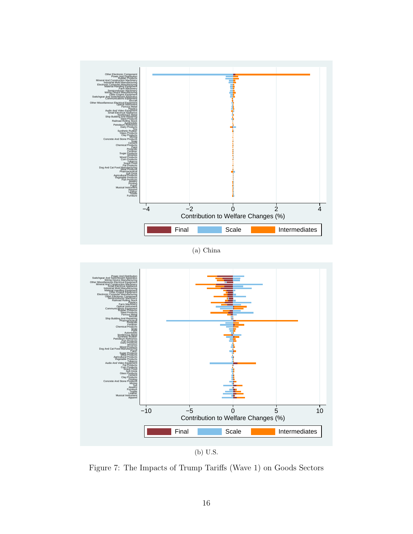

(b) U.S.

Figure 7: The Impacts of Trump Tariffs (Wave 1) on Goods Sectors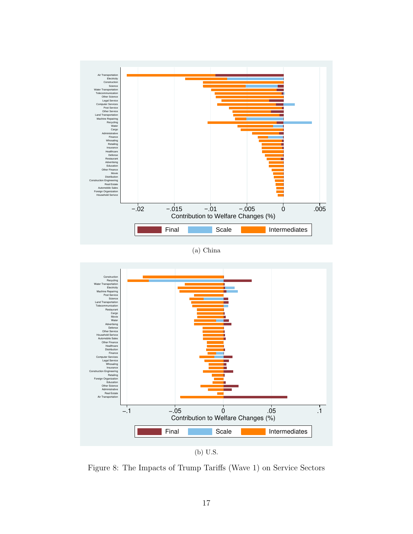

(a) China



Figure 8: The Impacts of Trump Tariffs (Wave 1) on Service Sectors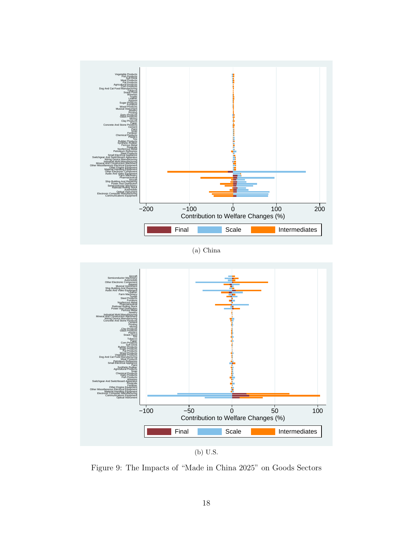

(b) U.S.

Figure 9: The Impacts of "Made in China 2025" on Goods Sectors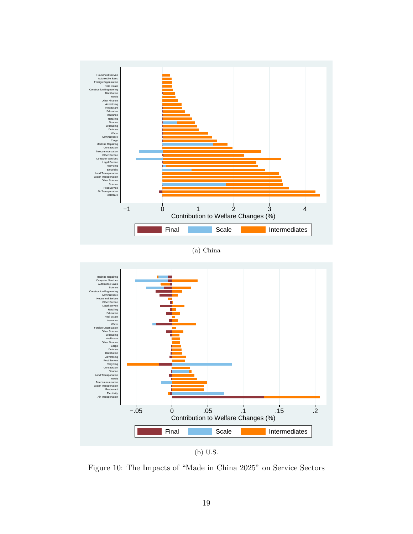

(a) China



Figure 10: The Impacts of "Made in China 2025" on Service Sectors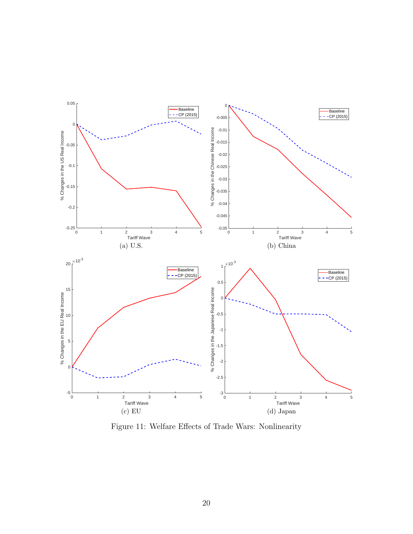

Figure 11: Welfare Effects of Trade Wars: Nonlinearity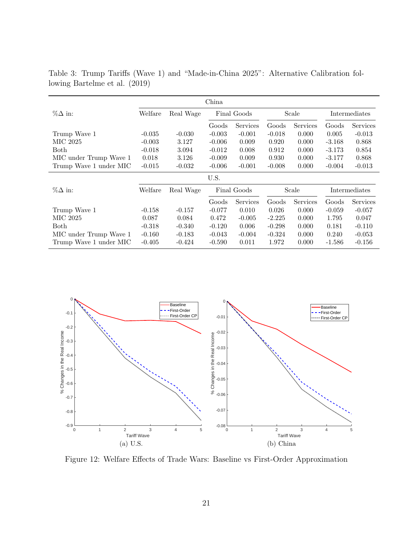|                        | China    |           |                      |             |          |          |               |          |
|------------------------|----------|-----------|----------------------|-------------|----------|----------|---------------|----------|
| $\%\Delta$ in:         | Welfare  | Real Wage | Final Goods          |             | Scale    |          | Intermediates |          |
|                        |          |           | Services<br>Goods    |             | Goods    | Services | Goods         | Services |
| Trump Wave 1           | $-0.035$ | $-0.030$  | $-0.003$             | $-0.001$    | $-0.018$ | 0.000    | 0.005         | $-0.013$ |
| MIC 2025               | $-0.003$ | 3.127     | $-0.006$             | 0.009       | 0.920    | 0.000    | $-3.168$      | 0.868    |
| Both                   | $-0.018$ | 3.094     | $-0.012$             | 0.008       | 0.912    | 0.000    | $-3.173$      | 0.854    |
| MIC under Trump Wave 1 | 0.018    | 3.126     | $-0.009$             | 0.009       |          | 0.000    | $-3.177$      | 0.868    |
| Trump Wave 1 under MIC | $-0.015$ | $-0.032$  | $-0.001$<br>$-0.006$ |             | $-0.008$ | 0.000    | $-0.004$      | $-0.013$ |
|                        |          |           | U.S.                 |             |          |          |               |          |
| $\% \Delta$ in:        | Welfare  | Real Wage |                      | Final Goods |          | Scale    | Intermediates |          |
|                        |          |           | Goods                | Services    | Goods    | Services | Goods         | Services |
| Trump Wave 1           | $-0.158$ | $-0.157$  | $-0.077$             | 0.010       | 0.026    | 0.000    | $-0.059$      | $-0.057$ |
| MIC 2025               | 0.087    | 0.084     | 0.472                | $-0.005$    | $-2.225$ | 0.000    | 1.795         | 0.047    |
| <b>Both</b>            | $-0.318$ | $-0.340$  | $-0.120$             | 0.006       | $-0.298$ | 0.000    | 0.181         | $-0.110$ |
| MIC under Trump Wave 1 | $-0.160$ | $-0.183$  | $-0.043$             | $-0.004$    | $-0.324$ | 0.000    | 0.240         | $-0.053$ |
| Trump Wave 1 under MIC | $-0.405$ | $-0.424$  | $-0.590$             | 0.011       | 1.972    | 0.000    | $-1.586$      | $-0.156$ |

Table 3: Trump Tariffs (Wave 1) and "Made-in-China 2025": Alternative Calibration following Bartelme et al. (2019)



Figure 12: Welfare Effects of Trade Wars: Baseline vs First-Order Approximation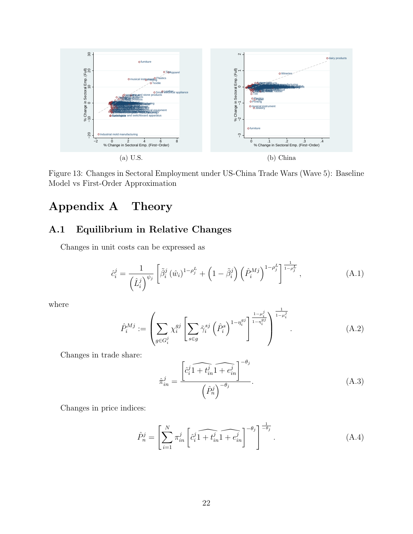

Figure 13: Changes in Sectoral Employment under US-China Trade Wars (Wave 5): Baseline Model vs First-Order Approximation

## Appendix A Theory

### A.1 Equilibrium in Relative Changes

Changes in unit costs can be expressed as

$$
\hat{c}_i^j = \frac{1}{\left(\hat{L}_i^j\right)^{\psi_j}} \left[ \tilde{\beta}_i^j \left(\hat{w}_i\right)^{1-\rho_j^L} + \left(1-\tilde{\beta}_i^j\right) \left(\hat{P}_i^{Mj}\right)^{1-\rho_j^L} \right]^{\frac{1}{1-\rho_j^L}}, \tag{A.1}
$$

where

$$
\hat{P}_i^{Mj} := \left(\sum_{g \in G_i^j} \chi_i^{gj} \left[\sum_{s \in g} \tilde{\gamma}_i^{sj} \left(\hat{P}_i^s\right)^{1-\eta_i^{gj}}\right]^{\frac{1-\mu_i^j}{1-\eta_i^{gj}}}\right)^{\frac{1}{1-\mu_i^j}}.
$$
\n(A.2)

Changes in trade share:

$$
\hat{\pi}_{in}^{j} = \frac{\left[\hat{c}_{i}^{j}\widehat{1+t_{in}^{j}}\widehat{1+e_{in}^{j}}\right]^{-\theta_{j}}}{\left(\hat{P}_{n}^{j}\right)^{-\theta_{j}}}.
$$
\n(A.3)

Changes in price indices:

$$
\hat{P}_n^j = \left[ \sum_{i=1}^N \pi_{in}^j \left[ \hat{c}_i^j \widehat{1 + t_{in}^j} \widehat{1 + e_{in}^j} \right]^{-\theta_j} \right]^{\frac{1}{-\theta_j}}.
$$
\n(A.4)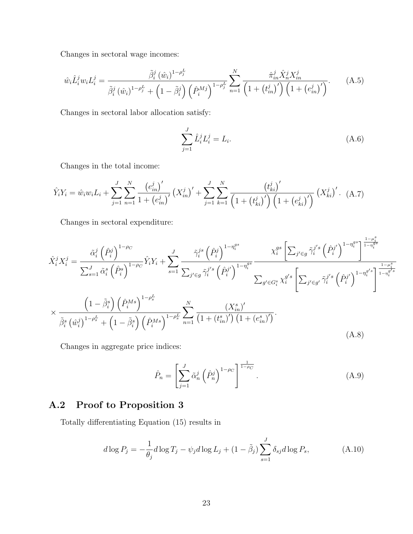Changes in sectoral wage incomes:

$$
\hat{w}_{i}\hat{L}_{i}^{j}w_{i}L_{i}^{j} = \frac{\tilde{\beta}_{i}^{j}(\hat{w}_{i})^{1-\rho_{j}^{L}}}{\tilde{\beta}_{i}^{j}(\hat{w}_{i})^{1-\rho_{j}^{L}} + \left(1 - \tilde{\beta}_{i}^{j}\right)\left(\hat{P}_{i}^{Mj}\right)^{1-\rho_{j}^{L}}}\sum_{n=1}^{N} \frac{\hat{\pi}_{in}^{j}\hat{X}_{n}^{j}X_{in}^{j}}{\left(1 + \left(t_{in}^{j}\right)'\right)\left(1 + \left(e_{in}^{j}\right)'\right)}.
$$
\n(A.5)

Changes in sectoral labor allocation satisfy:

$$
\sum_{j=1}^{J} \hat{L}_i^j L_i^j = L_i.
$$
\n(A.6)

Changes in the total income:

$$
\hat{Y}_i Y_i = \hat{w}_i w_i L_i + \sum_{j=1}^J \sum_{n=1}^N \frac{\left(e_{in}^j\right)'}{1 + \left(e_{in}^j\right)'} \left(X_{in}^j\right)' + \sum_{j=1}^J \sum_{k=1}^N \frac{\left(t_{ki}^j\right)'}{\left(1 + \left(t_{ki}^j\right)'\right) \left(1 + \left(e_{ki}^j\right)'\right)} \left(X_{ki}^j\right)'.
$$
 (A.7)

Changes in sectoral expenditure:

$$
\hat{X}_{i}^{j} X_{i}^{j} = \frac{\tilde{\alpha}_{i}^{j} (\hat{P}_{i}^{j})^{1-\rho_{C}}}{\sum_{s=1}^{J} \tilde{\alpha}_{i}^{s} (\hat{P}_{i}^{s})^{1-\rho_{C}}}\hat{Y}_{i} Y_{i} + \sum_{s=1}^{J} \frac{\tilde{\gamma}_{i}^{j s} (\hat{P}_{i}^{j})^{1-\eta_{i}^{gs}}}{\sum_{j' \in g} \tilde{\gamma}_{i}^{j's} (\hat{P}_{i}^{j'})^{1-\eta_{i}^{gs}}}\frac{X_{i}^{gs} [\sum_{j' \in g} \tilde{\gamma}_{i}^{j's} (\hat{P}_{i}^{j'})^{1-\eta_{i}^{gs}}\frac{1-\mu_{i}^{s}}{1-\eta_{i}^{gs}}}{\sum_{g' \in G_{i}^{s} \times \tilde{\gamma}_{i}^{j's} (\hat{P}_{i}^{j'})^{1-\eta_{i}^{g's}}}\left[\sum_{j' \in g'} \tilde{\gamma}_{i}^{j's} (\hat{P}_{i}^{j'})^{1-\eta_{i}^{g's}}\right]^{\frac{1-\mu_{i}^{s}}{1-\eta_{i}^{g's}}}
$$
\n
$$
\times \frac{\left(1-\tilde{\beta}_{i}^{s}\right) (\hat{P}_{i}^{Ms})^{1-\rho_{s}^{L}}}{\tilde{\beta}_{i}^{s} (\hat{w}_{i}^{j})^{1-\rho_{s}^{L}} + \left(1-\tilde{\beta}_{i}^{s}\right) (\hat{P}_{i}^{Ms})^{1-\rho_{s}^{L}}}\sum_{n=1}^{N} \frac{\left(X_{in}^{s}\right)^{\prime}}{\left(1+\left(t_{in}^{s}\right)^{\prime}\right)\left(1+\left(e_{in}^{s}\right)^{\prime}\right)}.
$$
\n(A.8)

Changes in aggregate price indices:

$$
\hat{P}_n = \left[ \sum_{j=1}^J \tilde{\alpha}_n^j \left( \hat{P}_n^j \right)^{1-\rho_C} \right]^{\frac{1}{1-\rho_C}}.
$$
\n(A.9)

### A.2 Proof to Proposition 3

Totally differentiating Equation (15) results in

$$
d\log P_j = -\frac{1}{\theta_j} d\log T_j - \psi_j d\log L_j + (1 - \tilde{\beta}_j) \sum_{s=1}^J \delta_{sj} d\log P_s, \tag{A.10}
$$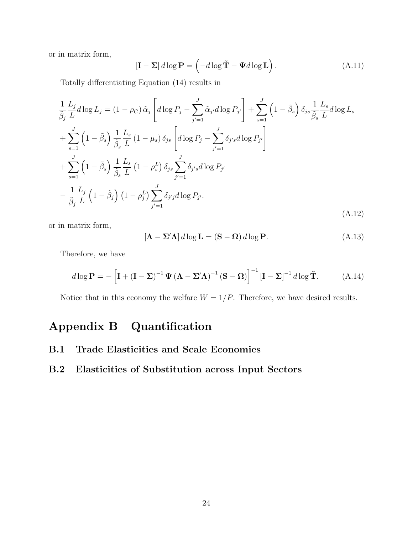or in matrix form,

$$
\left[\mathbf{I} - \boldsymbol{\Sigma}\right] d \log \mathbf{P} = \left(-d \log \tilde{\mathbf{T}} - \boldsymbol{\Psi} d \log \mathbf{L}\right). \tag{A.11}
$$

Totally differentiating Equation (14) results in

$$
\frac{1}{\tilde{\beta}_{j}} \frac{L_{j}}{L} d \log L_{j} = (1 - \rho_{C}) \tilde{\alpha}_{j} \left[ d \log P_{j} - \sum_{j'=1}^{J} \tilde{\alpha}_{j'} d \log P_{j'} \right] + \sum_{s=1}^{J} \left( 1 - \tilde{\beta}_{s} \right) \delta_{js} \frac{1}{\tilde{\beta}_{s}} \frac{L_{s}}{L} d \log L_{s}
$$
\n
$$
+ \sum_{s=1}^{J} \left( 1 - \tilde{\beta}_{s} \right) \frac{1}{\tilde{\beta}_{s}} \frac{L_{s}}{L} (1 - \mu_{s}) \delta_{js} \left[ d \log P_{j} - \sum_{j'=1}^{J} \delta_{j's} d \log P_{j'} \right]
$$
\n
$$
+ \sum_{s=1}^{J} \left( 1 - \tilde{\beta}_{s} \right) \frac{1}{\tilde{\beta}_{s}} \frac{L_{s}}{L} (1 - \rho_{s}^{L}) \delta_{js} \sum_{j'=1}^{J} \delta_{j's} d \log P_{j'}
$$
\n
$$
- \frac{1}{\tilde{\beta}_{j}} \frac{L_{j}}{L} (1 - \tilde{\beta}_{j}) (1 - \rho_{j}^{L}) \sum_{j'=1}^{J} \delta_{j'j} d \log P_{j'}.
$$
\n(A.12)

or in matrix form,

$$
[\mathbf{\Lambda} - \mathbf{\Sigma}' \mathbf{\Lambda}] d \log \mathbf{L} = (\mathbf{S} - \mathbf{\Omega}) d \log \mathbf{P}.
$$
 (A.13)

Therefore, we have

$$
d\log \mathbf{P} = -\left[\mathbf{I} + (\mathbf{I} - \boldsymbol{\Sigma})^{-1} \boldsymbol{\Psi} (\boldsymbol{\Lambda} - \boldsymbol{\Sigma}' \boldsymbol{\Lambda})^{-1} (\mathbf{S} - \boldsymbol{\Omega})\right]^{-1} \left[\mathbf{I} - \boldsymbol{\Sigma}\right]^{-1} d\log \tilde{\mathbf{T}}.
$$
 (A.14)

Notice that in this economy the welfare  $W = 1/P$ . Therefore, we have desired results.

# Appendix B Quantification

- B.1 Trade Elasticities and Scale Economies
- B.2 Elasticities of Substitution across Input Sectors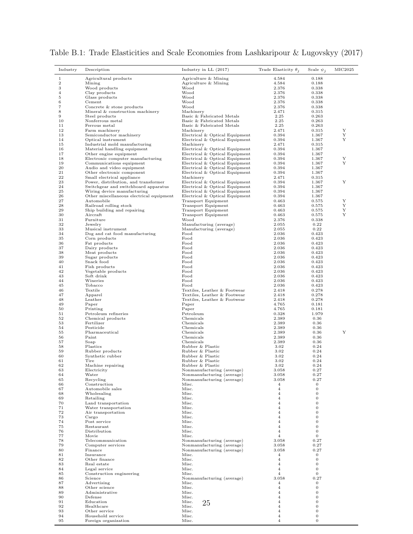| Industry       | Description                                                 | Industry in $LL$ (2017)                                          | Trade Elasticity $\theta_i$ | Scale $\psi_i$                 | MIC2025 |
|----------------|-------------------------------------------------------------|------------------------------------------------------------------|-----------------------------|--------------------------------|---------|
| $\mathbf{1}$   | Agricultural products                                       | Agriculture & Mining                                             | 4.584                       | 0.188                          |         |
| $\sqrt{2}$     | Mining                                                      | Agriculture & Mining                                             | 4.584                       | 0.188                          |         |
| 3<br>4         | Wood products<br>Clay products                              | Wood<br>Wood                                                     | 2.376<br>2.376              | 0.338<br>0.338                 |         |
| $\overline{5}$ | Glass products                                              | Wood                                                             | 2.376                       | 0.338                          |         |
| 6              | Cement                                                      | Wood                                                             | 2.376                       | 0.338                          |         |
| $\overline{7}$ | Concrete & stone products                                   | Wood                                                             | 2.376                       | 0.338                          |         |
| 8              | Mineral & construction machinery                            | Machinery                                                        | 2.471                       | 0.315                          |         |
| 9              | Steel products                                              | Basic & Fabricated Metals                                        | 2.25                        | 0.263                          |         |
| 10<br>11       | Nonferrous metal<br>Ferrous metal                           | Basic & Fabricated Metals<br>Basic & Fabricated Metals           | 2.25<br>2.25                | 0.263<br>0.263                 |         |
| 12             | Farm machinery                                              | Machinery                                                        | 2.471                       | 0.315                          | Y       |
| 13             | Semiconductor machinery                                     | Electrical & Optical Equipment                                   | 0.394                       | 1.367                          | Y       |
| 14             | Optical instrument                                          | Electrical & Optical Equipment                                   | 0.394                       | 1.367                          | Y       |
| 15             | Industrial mold manufacturing                               | Machinery                                                        | 2.471                       | 0.315                          |         |
| 16             | Material handling equipment                                 | Electrical & Optical Equipment                                   | 0.394                       | 1.367                          |         |
| 17<br>18       | Other engine equipment<br>Electronic computer manufacturing | Electrical & Optical Equipment<br>Electrical & Optical Equipment | 0.394<br>0.394              | 1.367<br>1.367                 | Y       |
| 19             | Communications equipment                                    | Electrical & Optical Equipment                                   | 0.394                       | 1.367                          | Y       |
| 20             | Audio and video equipment                                   | Electrical & Optical Equipment                                   | 0.394                       | 1.367                          |         |
| 21             | Other electronic component                                  | Electrical & Optical Equipment                                   | 0.394                       | 1.367                          |         |
| 22             | Small electrical appliance                                  | Machinery                                                        | 2.471                       | 0.315                          |         |
| 23             | Power, distribution, and transformer                        | Electrical & Optical Equipment                                   | 0.394                       | 1.367                          | Y       |
| 24             | Switchgear and switchboard apparatus                        | Electrical & Optical Equipment                                   | 0.394                       | 1.367                          |         |
| 25<br>26       | Wiring device manufacturing                                 | Electrical & Optical Equipment                                   | 0.394                       | 1.367<br>1.367                 |         |
| 27             | Other miscellaneous electrical equipment<br>Automobile      | Electrical & Optical Equipment<br>Transport Equipment            | 0.394<br>0.463              | 0.575                          | Y       |
| 28             | Railroad rolling stock                                      | <b>Transport Equipment</b>                                       | 0.463                       | 0.575                          | Y       |
| 29             | Ship building and repairing                                 | <b>Transport Equipment</b>                                       | 0.463                       | 0.575                          | Υ       |
| 30             | Aircraft                                                    | Transport Equipment                                              | 0.463                       | 0.575                          | Y       |
| 31             | Furniture                                                   | Wood                                                             | 2.376                       | 0.338                          |         |
| 32             | Jewelry                                                     | Manufacturing (average)                                          | 2.055                       | 0.22                           |         |
| 33             | Musical instrument                                          | Manufacturing (average)                                          | 2.055                       | 0.22                           |         |
| 34             | Dog and cat food manufacturing<br>Corn products             | Food                                                             | 2.036                       | 0.423                          |         |
| 35<br>36       | Fat products                                                | Food<br>Food                                                     | 2.036<br>2.036              | 0.423<br>0.423                 |         |
| 37             | Dairy products                                              | Food                                                             | 2.036                       | 0.423                          |         |
| 38             | Meat products                                               | Food                                                             | 2.036                       | 0.423                          |         |
| 39             | Sugar products                                              | Food                                                             | 2.036                       | 0.423                          |         |
| 40             | Snack food                                                  | Food                                                             | 2.036                       | 0.423                          |         |
| 41             | Fish products                                               | Food                                                             | 2.036                       | 0.423                          |         |
| 42             | Vegetable products                                          | Food                                                             | 2.036                       | 0.423                          |         |
| 43<br>44       | Soft drink<br>Wineries                                      | Food<br>Food                                                     | 2.036<br>2.036              | 0.423<br>0.423                 |         |
| 45             | Tobacco                                                     | Food                                                             | 2.036                       | 0.423                          |         |
| 46             | Textile                                                     | Textiles, Leather & Footwear                                     | 2.418                       | 0.278                          |         |
| 47             | Apparel                                                     | Textiles, Leather & Footwear                                     | 2.418                       | 0.278                          |         |
| 48             | Leather                                                     | Textiles, Leather & Footwear                                     | 2.418                       | 0.278                          |         |
| 49             | Paper                                                       | Paper                                                            | 4.765                       | 0.181                          |         |
| 50<br>51       | Printing                                                    | Paper                                                            | 4.765                       | 0.181                          |         |
| 52             | Petroleum refineries<br>Chemical products                   | Petroleum<br>Chemicals                                           | 0.328<br>2.389              | 1.979<br>0.36                  |         |
| 53             | Fertilizer                                                  | Chemicals                                                        | 2.389                       | 0.36                           |         |
| 54             | Pesticide                                                   | Chemicals                                                        | 2.389                       | 0.36                           |         |
| 55             | Pharmaceutical                                              | Chemicals                                                        | 2.389                       | 0.36                           | Y       |
| 56             | Paint                                                       | Chemicals                                                        | 2.389                       | 0.36                           |         |
| 57             | Soap                                                        | Chemicals                                                        | 2.389                       | 0.36                           |         |
| 58<br>59       | Plastics<br>Rubber products                                 | Rubber & Plastic<br>Rubber & Plastic                             | 3.02<br>3.02                | 0.24<br>0.24                   |         |
| 60             | Synthetic rubber                                            | Rubber & Plastic                                                 | 3.02                        | 0.24                           |         |
| 61             | Tire                                                        | Rubber & Plastic                                                 | 3.02                        | 0.24                           |         |
| 62             | Machine repairing                                           | Rubber & Plastic                                                 | 3.02                        | 0.24                           |         |
| 63             | Electricity                                                 | Nonmanufacturing (average)                                       | 3.058                       | 0.27                           |         |
| 64             | Water                                                       | Nonmanufacturing (average)                                       | 3.058                       | 0.27                           |         |
| 65             | Recycling                                                   | Nonmanufacturing (average)                                       | 3.058                       | 0.27                           |         |
| 66<br>67       | Construction<br>Automobile sales                            | Misc.<br>Misc.                                                   | 4<br>$\overline{4}$         | $\mathbf{0}$<br>$\mathbf{0}$   |         |
| 68             | Wholesaling                                                 | Misc.                                                            | $\overline{4}$              | $\mathbf{0}$                   |         |
| 69             | Retailing                                                   | Misc.                                                            | $\overline{4}$              | $\mathbf{0}$                   |         |
| 70             | Land transportation                                         | Misc.                                                            | 4                           | $\mathbf{0}$                   |         |
| 71             | Water transportation                                        | Misc.                                                            | 4                           | $\boldsymbol{0}$               |         |
| 72             | Air transportation                                          | Misc.                                                            | 4                           | $\boldsymbol{0}$               |         |
| 73             | Cargo                                                       | Misc.                                                            | 4                           | $\overline{0}$                 |         |
| 74<br>75       | Post service<br>Restaurant                                  | Misc.<br>Misc.                                                   | 4<br>4                      | $\overline{0}$<br>$\mathbf{0}$ |         |
| 76             | Distribution                                                | Misc.                                                            | $\overline{4}$              | $\mathbf{0}$                   |         |
| 77             | Movie                                                       | Misc.                                                            | $\overline{4}$              | $\mathbf{0}$                   |         |
| 78             | Telecommunication                                           | Nonmanufacturing (average)                                       | 3.058                       | 0.27                           |         |
| 79             | Computer services                                           | Nonmanufacturing (average)                                       | 3.058                       | 0.27                           |         |
| 80             | Finance                                                     | Nonmanufacturing (average)                                       | 3.058                       | 0.27                           |         |
| 81             | Insurance                                                   | Misc.                                                            | 4                           | 0                              |         |
| 82             | Other finance                                               | Misc.                                                            | $\overline{4}$              | $\overline{0}$                 |         |
| 83<br>84       | Real estate<br>Legal service                                | Misc.<br>Misc.                                                   | 4<br>$\overline{4}$         | $\mathbf{0}$<br>$\mathbf{0}$   |         |
| 85             | Construction engineering                                    | Misc.                                                            | $\overline{4}$              | $\mathbf{0}$                   |         |
| 86             | Science                                                     | Nonmanufacturing (average)                                       | 3.058                       | 0.27                           |         |
| 87             | Advertising                                                 | Misc.                                                            | 4                           | $\mathbf{0}$                   |         |
| 88             | Other science                                               | Misc.                                                            | 4                           | $\mathbf{0}$                   |         |
| 89             | Administrative                                              | Misc.                                                            | 4                           | $\boldsymbol{0}$               |         |
| 90             | Defense                                                     | Misc.                                                            | 4                           | $\boldsymbol{0}$               |         |
| 91             | Education                                                   | Misc.<br>25                                                      | $\overline{4}$              | $\mathbf{0}$                   |         |
| 92<br>93       | Healthcare<br>Other service                                 | Misc.<br>Misc.                                                   | 4<br>4                      | $\mathbf{0}$<br>$\mathbf{0}$   |         |
| 94             | Household service                                           | Misc.                                                            | 4                           | $\mathbf{0}$                   |         |
| 95             | Foreign organization                                        | Misc.                                                            | 4                           | $\boldsymbol{0}$               |         |
|                |                                                             |                                                                  |                             |                                |         |

|  |  |  | Table B.1: Trade Elasticities and Scale Economies from Lashkaripour & Lugovskyy (2017) |  |  |
|--|--|--|----------------------------------------------------------------------------------------|--|--|
|  |  |  |                                                                                        |  |  |